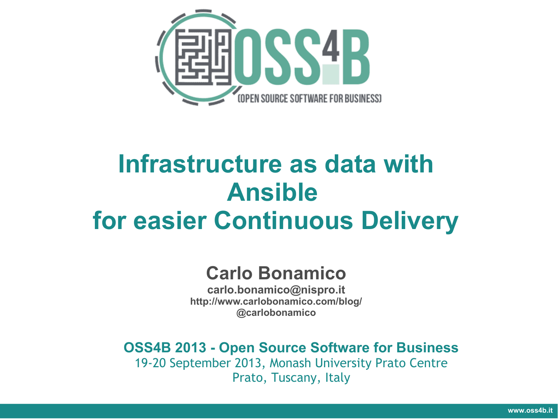

# **Infrastructure as data with Ansible for easier Continuous Delivery**

#### **Carlo Bonamico**

**carlo.bonamico@nispro.it <http://www.carlobonamico.com/blog/> @carlobonamico**

**OSS4B 2013 - Open Source Software for Business**

19-20 September 2013, Monash University Prato Centre Prato, Tuscany, Italy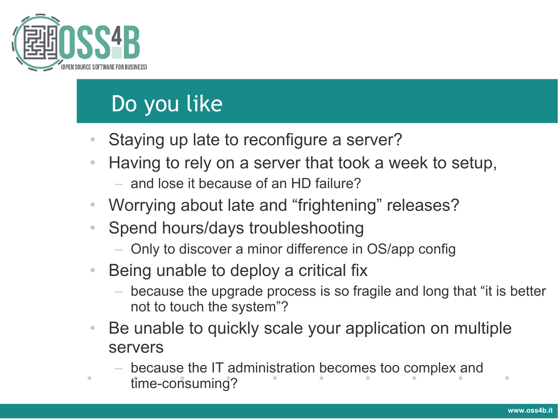

## Do you like

- Staying up late to reconfigure a server?
- Having to rely on a server that took a week to setup,
	- and lose it because of an HD failure?
- Worrying about late and "frightening" releases?
- Spend hours/days troubleshooting
	- Only to discover a minor difference in OS/app config
- Being unable to deploy a critical fix
	- because the upgrade process is so fragile and long that "it is better not to touch the system"?
- Be unable to quickly scale your application on multiple servers
	- because the IT administration becomes too complex and
	- time-consuming?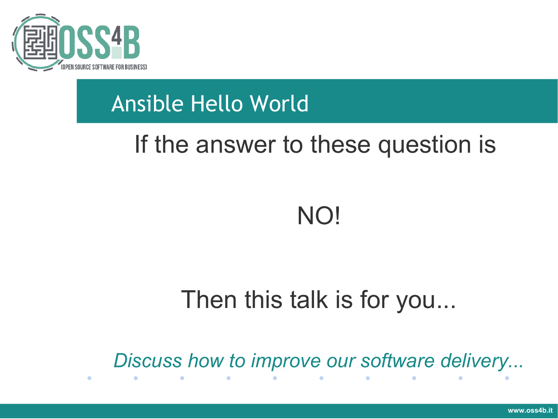

## Ansible Hello World

# If the answer to these question is

# NO!

# Then this talk is for you...

*Discuss how to improve our software delivery...*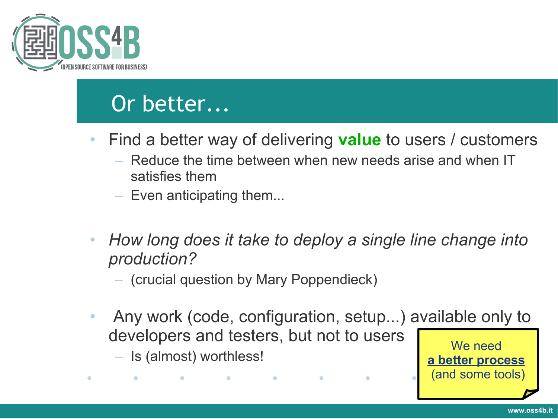

#### Or better...

- Find a better way of delivering **value** to users / customers
	- Reduce the time between when new needs arise and when IT satisfies them
	- Even anticipating them...
- *How long does it take to deploy a single line change into production?*
	- (crucial question by Mary Poppendieck)

 $\bullet$  and  $\bullet$  and  $\bullet$  and  $\bullet$ 

• Any work (code, configuration, setup...) available only to developers and testers, but not to users We need

 $\bullet$ 

– Is (almost) worthless!

 $\bullet$  . The contract of  $\bullet$ 

**www.oss4b.it**

**a better process**

(and some tools)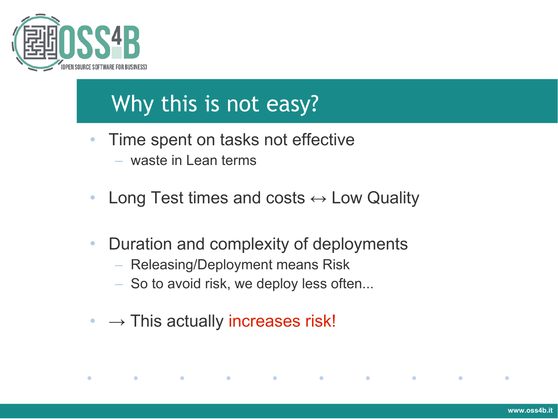

 $\bullet$ 

## Why this is not easy?

- Time spent on tasks not effective – waste in Lean terms
- Long Test times and costs  $\leftrightarrow$  Low Quality
- Duration and complexity of deployments
	- Releasing/Deployment means Risk

**Contract Contract Contract** 

**Contract Contract Contract** 

 $\bullet$  . The set of  $\bullet$ 

**Contract Contract Contract** 

 $\bullet$ 

- So to avoid risk, we deploy less often...
- $\bullet \rightarrow$  This actually increases risk!

**Contract Contract Contract**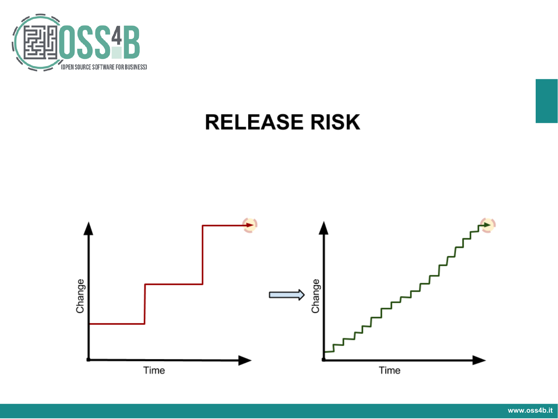

#### **RELEASE RISK**

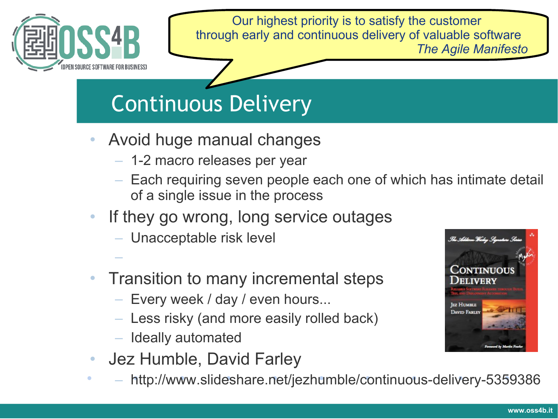

Our highest priority is to satisfy the customer through early and continuous delivery of valuable software *The Agile Manifesto*

# Continuous Delivery

- Avoid huge manual changes
	- 1-2 macro releases per year
	- Each requiring seven people each one of which has intimate detail of a single issue in the process
- If they go wrong, long service outages
	- Unacceptable risk level
- Transition to many incremental steps
	- Every week / day / even hours...
	- Less risky (and more easily rolled back)
	- Ideally automated

–

- Jez Humble, David Farley
- http://www.slideshare.net/jezhumble/continuous-delivery-5359386

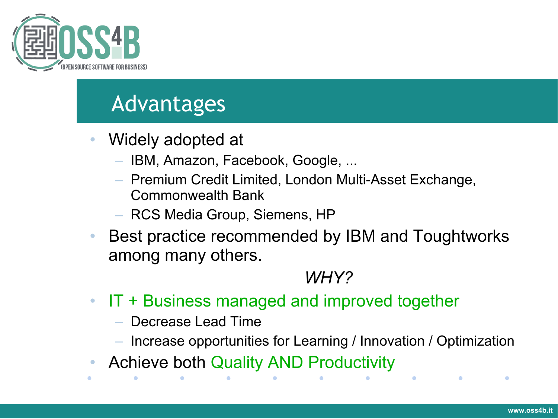

#### Advantages

- Widely adopted at
	- IBM, Amazon, Facebook, Google, ...
	- Premium Credit Limited, London Multi-Asset Exchange, Commonwealth Bank
	- RCS Media Group, Siemens, HP
- Best practice recommended by IBM and Toughtworks among many others.

#### *WHY?*

- IT + Business managed and improved together
	- Decrease Lead Time
	- Increase opportunities for Learning / Innovation / Optimization
- Achieve both Quality AND Productivity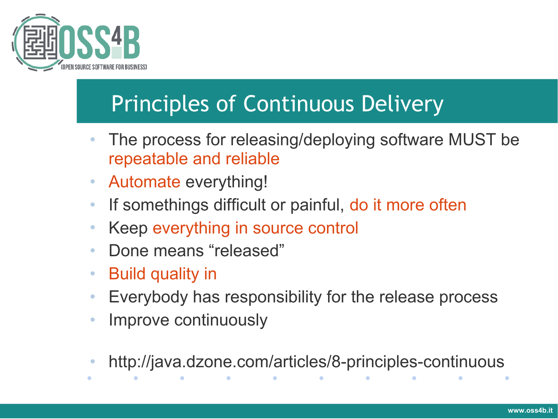

# Principles of Continuous Delivery

- The process for releasing/deploying software MUST be repeatable and reliable
- Automate everything!
- If somethings difficult or painful, do it more often
- Keep everything in source control
- Done means "released"
- Build quality in
- Everybody has responsibility for the release process
- Improve continuously
- http://java.dzone.com/articles/8-principles-continuous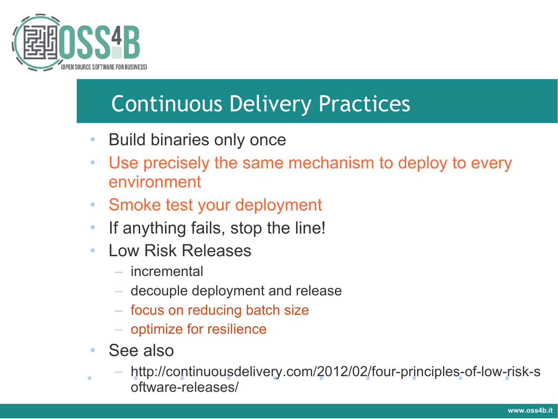

## Continuous Delivery Practices

- Build binaries only once
- Use precisely the same mechanism to deploy to every environment
- Smoke test your deployment
- If anything fails, stop the line!
- Low Risk Releases
	- incremental
	- decouple deployment and release
	- focus on reducing batch size
	- optimize for resilience
- See also
	- http://continuousdelivery.com/2012/02/four-principles-of-low-risk-s oftware-releases/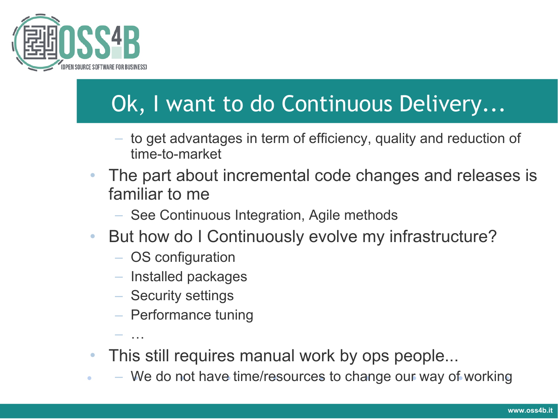

# Ok, I want to do Continuous Delivery...

- to get advantages in term of efficiency, quality and reduction of time-to-market
- The part about incremental code changes and releases is familiar to me
	- See Continuous Integration, Agile methods
- But how do I Continuously evolve my infrastructure?
	- OS configuration
	- Installed packages
	- Security settings
	- Performance tuning

– …

- This still requires manual work by ops people...
- We do not have time/resources to change our way of working $\bullet$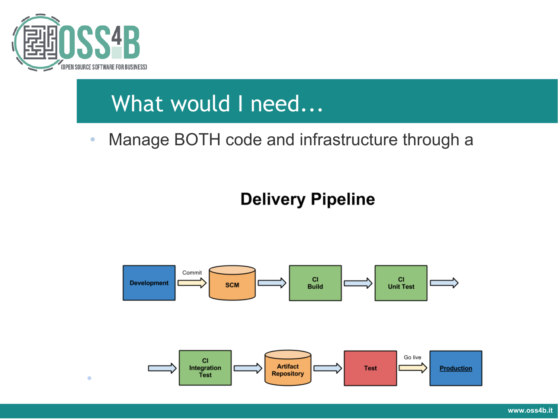

#### What would I need...

• Manage BOTH code and infrastructure through a

#### **Delivery Pipeline**

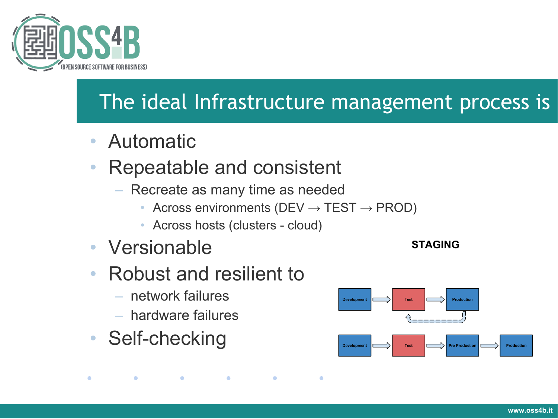

#### The ideal Infrastructure management process is

- Automatic
- Repeatable and consistent
	- Recreate as many time as needed
		- Across environments (DEV  $\rightarrow$  TEST  $\rightarrow$  PROD)

 $\bullet$ 

 $\bullet$ 

• Across hosts (clusters - cloud)

 $\bullet$ 

- **Versionable**
- Robust and resilient to
	- network failures
	- hardware failures

 $\bullet$ 

• Self-checking

 $\bullet$ 

**Development Test Production** Production **Test Pre Production** 

**STAGING**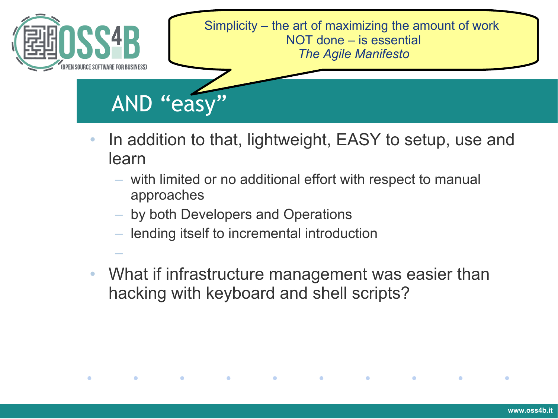

- In addition to that, lightweight, EASY to setup, use and learn
	- with limited or no additional effort with respect to manual approaches
	- by both Developers and Operations

–

 $\bullet$ 

 $\bullet$ 

 $\bullet$ 

- lending itself to incremental introduction
- What if infrastructure management was easier than hacking with keyboard and shell scripts?

 $\bullet$ 

 $\bullet$ 

 $\bullet$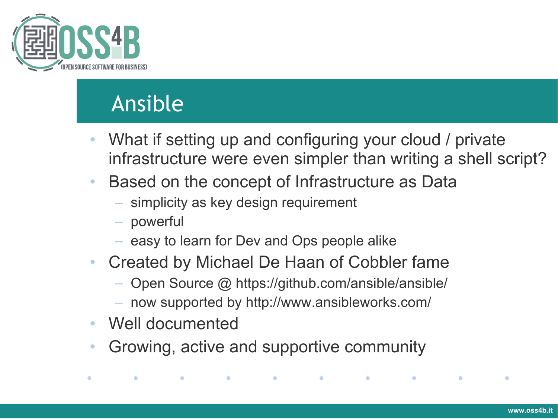

# Ansible

- What if setting up and configuring your cloud / private infrastructure were even simpler than writing a shell script?
- Based on the concept of Infrastructure as Data
	- simplicity as key design requirement
	- powerful
	- easy to learn for Dev and Ops people alike
- Created by Michael De Haan of Cobbler fame
	- Open Source @ https://github.com/ansible/ansible/
	- now supported by http://www.ansibleworks.com/

the contract of the contract of the contract of the contract of the contract of the contract of the contract of

• Well documented

 $\bullet$ 

 $\bullet$ 

• Growing, active and supportive community

 $\bullet$  . The set of  $\bullet$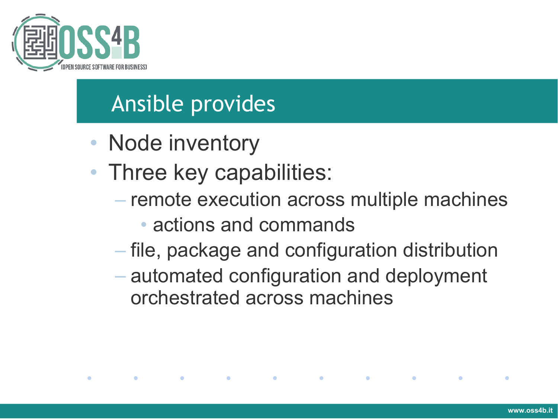

#### Ansible provides

• Node inventory

 $\bullet$ 

 $\bullet$ 

- Three key capabilities:
	- remote execution across multiple machines
		- actions and commands

- file, package and configuration distribution
- automated configuration and deployment orchestrated across machines

 $\sim$   $\sim$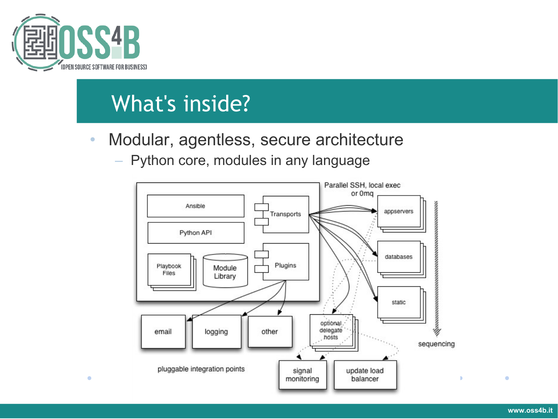

#### What's inside?

- Modular, agentless, secure architecture
	- Python core, modules in any language



 $\bullet$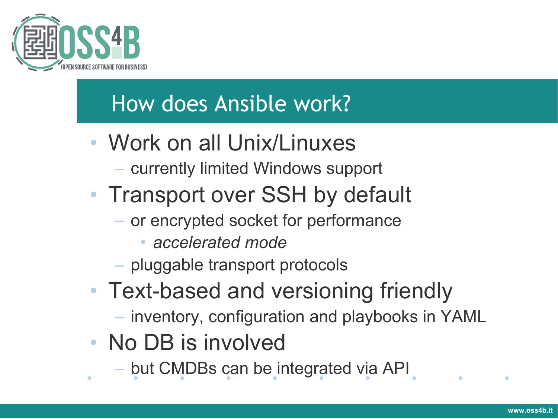

#### How does Ansible work?

- Work on all Unix/Linuxes
	- currently limited Windows support
- Transport over SSH by default
	- or encrypted socket for performance
		- *accelerated mode*
	- pluggable transport protocols
- Text-based and versioning friendly
	- inventory, configuration and playbooks in YAML
- No DB is involved
	- but CMDBs can be integrated via API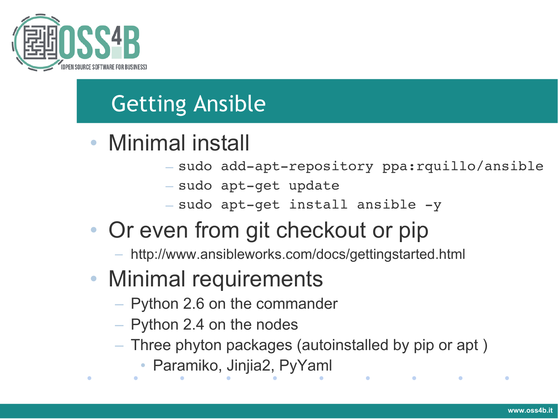

### Getting Ansible

- Minimal install
	- sudo add-apt-repository ppa:rquillo/ansible

 $\bullet$ 

- sudo apt-get update
- $-$  sudo apt-get install ansible -y
- Or even from git checkout or pip
	- http://www.ansibleworks.com/docs/gettingstarted.html
- Minimal requirements
	- Python 2.6 on the commander
	- Python 2.4 on the nodes
	- Three phyton packages (autoinstalled by pip or apt )
		- Paramiko, Jinjia2, PyYaml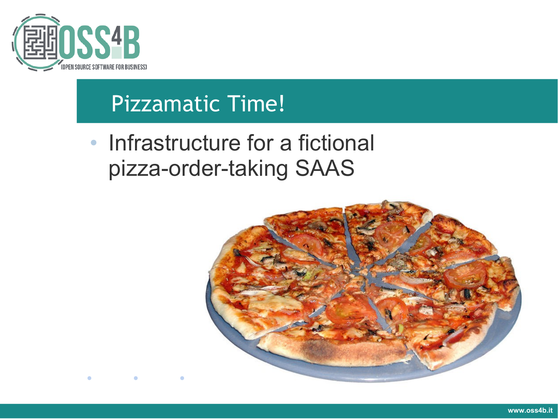

#### Pizzamatic Time!

• Infrastructure for a fictional pizza-order-taking SAAS

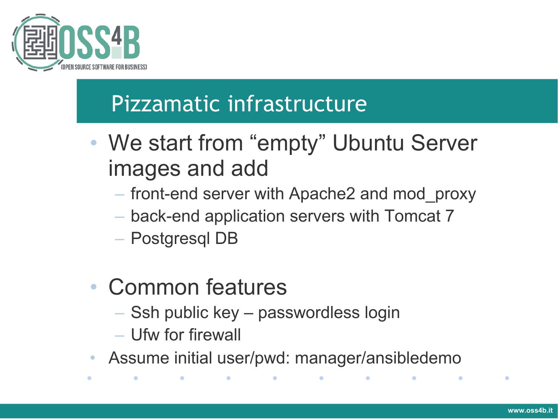

## Pizzamatic infrastructure

- We start from "empty" Ubuntu Server images and add
	- front-end server with Apache2 and mod\_proxy
	- back-end application servers with Tomcat 7
	- Postgresql DB
- Common features

- Ssh public key passwordless login
- Ufw for firewall

 $\bullet$ 

 $\bullet$ 

• Assume initial user/pwd: manager/ansibledemo

 $\bullet$ 

*Contract Contract Contract Contract*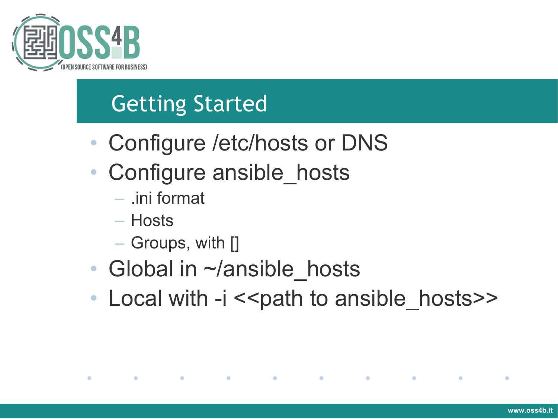

## Getting Started

- Configure / etc/hosts or DNS
- Configure ansible hosts
	- .ini format
	- Hosts

 $\mathcal{L}(\mathbf{C})$ 

 $\bullet$ 

- Groups, with []
- Global in ~/ansible hosts
- Local with -i << path to ansible hosts>>

the contract of the contract of the contract of the contract of the contract of the contract of the contract of

 $\bullet$ 

*Committee Committee*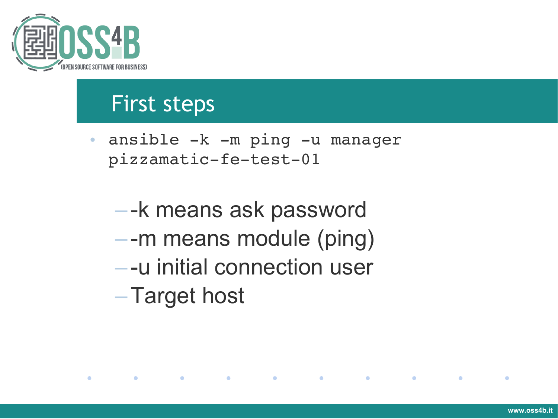

 $\bullet$ 

**Contract Contract Contract** 

#### First steps

- ansible -k -m ping -u manager pizzamatic-fe-test-01
	- -k means ask password – -m means module (ping) – -u initial connection user –Target host

**Contract Contract Contract** 

**Contract Contract Contract** 

**Contract Contract Contract** 

**Contract Contract Contract** 

 $\bullet$ 

 $\bullet$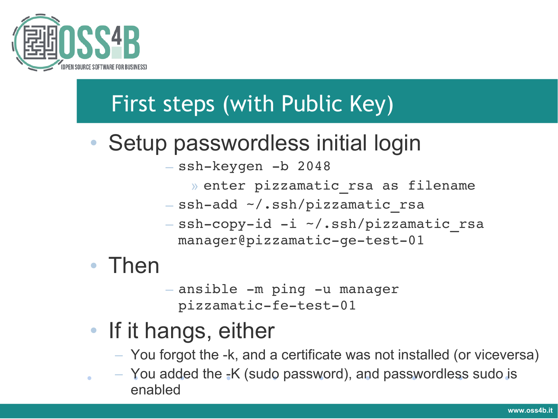

## First steps (with Public Key)

- Setup passwordless initial login
	- ssh-keygen -b 2048
		- » enter pizzamatic\_rsa as filename
	- ssh-add ~/.ssh/pizzamatic rsa
	- ssh-copy-id -i ~/.ssh/pizzamatic rsa manager@pizzamatic-ge-test-01
- Then

 $-$  ansible  $-m$  ping  $-u$  manager pizzamatic-fe-test-01

- If it hangs, either
	- You forgot the -k, and a certificate was not installed (or viceversa)
- $-$  You added the  $-K$  (sudo password), and passwordless sudo is enabled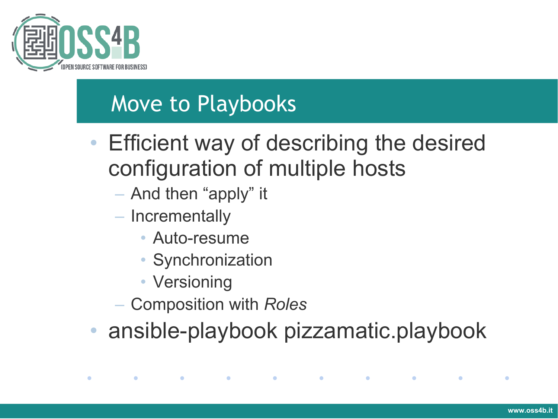

#### Move to Playbooks

- Efficient way of describing the desired configuration of multiple hosts
	- And then "apply" it
	- Incrementally

 $\bullet$ 

 $\bullet$ 

- Auto-resume
- Synchronization
- Versioning
- Composition with *Roles*
- ansible-playbook pizzamatic.playbook

the contract of the contract of the contract of the contract of the contract of the contract of the contract of

 $\bullet$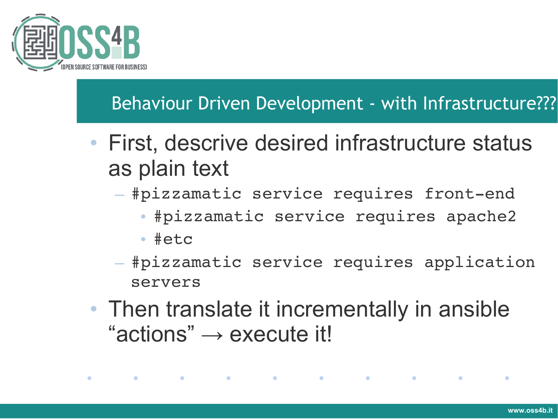

#### Behaviour Driven Development - with Infrastructure???

- First, descrive desired infrastructure status as plain text
	- #pizzamatic service requires front-end
		- #pizzamatic service requires apache2
		- #etc
	- #pizzamatic service requires application servers
- Then translate it incrementally in ansible " $actions" \rightarrow execute$  it!

and the contract of the contract of the contract of the contract of the contract of the contract of the contract of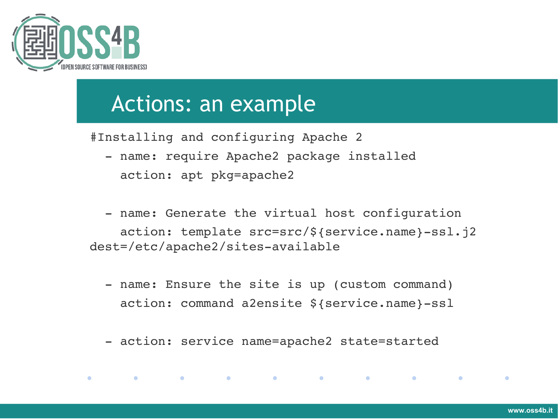

 $\bullet$ 

 $\bullet$  . The set of  $\bullet$ 

#### Actions: an example

#Installing and configuring Apache 2

- name: require Apache2 package installed action: apt pkg=apache2

- name: Generate the virtual host configuration action: template src=src/\${service.name}-ssl.j2 dest=/etc/apache2/sites-available

- name: Ensure the site is up (custom command) action: command a2ensite \${service.name}-ssl
- action: service name=apache2 state=started

 $\bullet$  .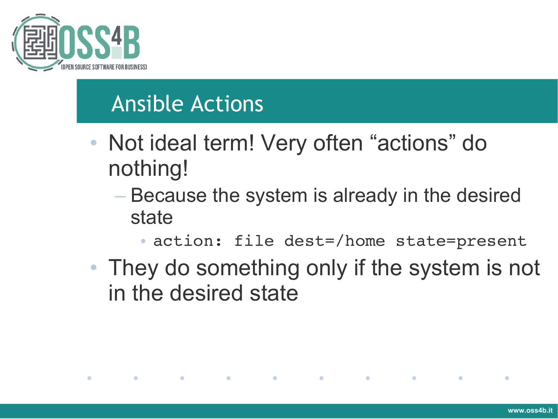

#### Ansible Actions

• Not ideal term! Very often "actions" do nothing!

the contract of the contract of the contract of the contract of the contract of the contract of the contract of

- Because the system is already in the desired state
	- action: file dest=/home state=present

 $\mathbf{C}$ 

• They do something only if the system is not in the desired state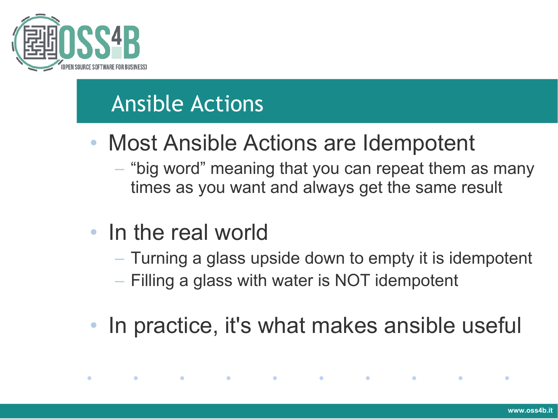

#### Ansible Actions

- Most Ansible Actions are Idempotent
	- "big word" meaning that you can repeat them as many times as you want and always get the same result
- In the real world

 $\bullet$ 

 $\bullet$ 

- Turning a glass upside down to empty it is idempotent
- Filling a glass with water is NOT idempotent

the control of the control of the control of the control of the control of the control of the control of the con

• In practice, it's what makes ansible useful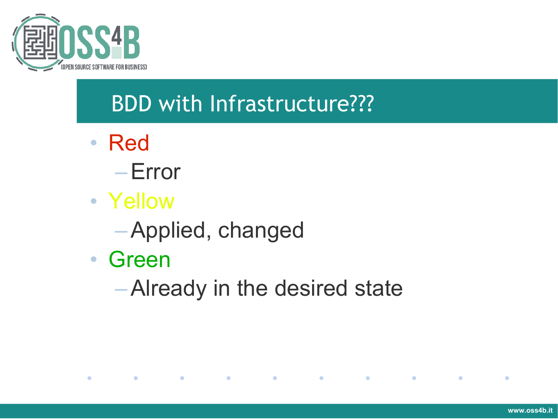

# BDD with Infrastructure???

- Red
	- –Error
- Yellow
	- –Applied, changed
- Green

 $\bullet$ 

**Contract Contract Contract** 

 $\bullet$ 

–Already in the desired state

 $\mathcal{L} = \mathcal{L}$ 

**Contract Contract Contract** 

**Contract Contract** 

 $\bullet$ 

 $\bullet$ 

 $\bullet$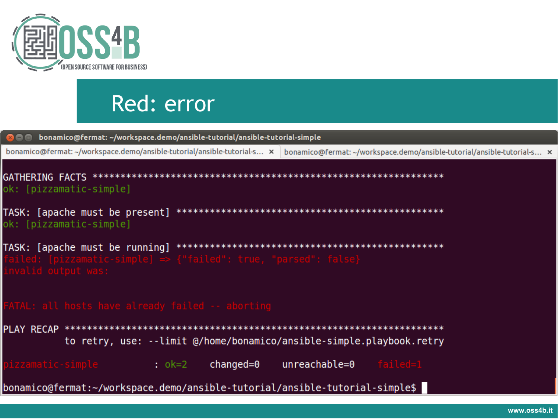

#### Red: errorbonamico@fermat: ~/workspace.demo/ansible-tutorial/ansible-tutorial-simple **xeo** bonamico@fermat: ~/workspace.demo/ansible-tutorial/ansible-tutorial-s... × bonamico@fermat: ~/workspace.demo/ansible-tutorial/ansible-tutorial-s... × ok: [pizzamatic-simple] TASK: [apache must be present] ok: [pizzamatic-simple] TASK: [apache must be running] to retry, use: --limit @/home/bonamico/ansible-simple.playbook.retry pizzamatic-simple  $: ok=2$ changed=0 unreachable=0 |bonamico@fermat:~/workspace.demo/ansible-tutorial/ansible-tutorial-simple\$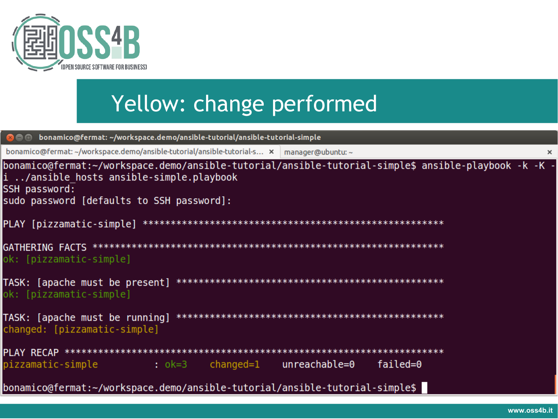

# Yellow: change performed

| <b>Community</b> bonamico@fermat: ~/workspace.demo/ansible-tutorial/ansible-tutorial-simple                                                                                                                    |
|----------------------------------------------------------------------------------------------------------------------------------------------------------------------------------------------------------------|
| bonamico@fermat: ~/workspace.demo/ansible-tutorial/ansible-tutorial-s x manager@ubuntu: ~<br>$\times$                                                                                                          |
| - bonamico@fermat:~/workspace.demo/ansible-tutorial/ansible-tutorial-simple\$ ansible-playbook -k -K<br>i /ansible hosts ansible-simple.playbook<br>SSH password:<br>sudo password [defaults to SSH password]: |
|                                                                                                                                                                                                                |
| ok: [pizzamatic-simple]                                                                                                                                                                                        |
| ok: [pizzamatic-simple]                                                                                                                                                                                        |
| changed: [pizzamatic-simple]                                                                                                                                                                                   |
|                                                                                                                                                                                                                |
| failed=0                                                                                                                                                                                                       |
| bonamico@fermat:~/workspace.demo/ansible-tutorial/ansible-tutorial-simple\$                                                                                                                                    |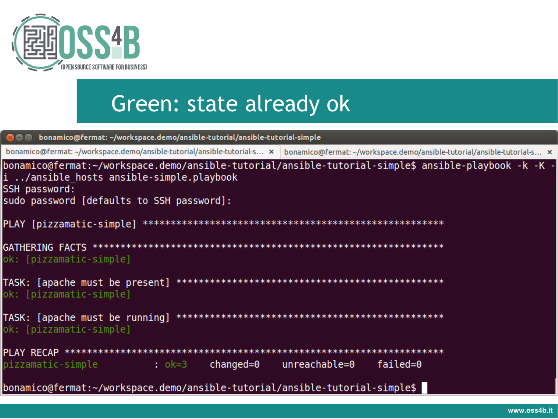

#### Green: state already ok

```
bonamico@fermat: ~/workspace.demo/ansible-tutorial/ansible-tutorial-simple
Ree
bonamico@fermat:~/workspace.demo/ansible-tutorial/ansible-tutorial-s... × bonamico@fermat:~/workspace.demo/ansible-tutorial/ansible-tutorial-s... ×
bonamico@fermat:~/workspace.demo/ansible-tutorial/ansible-tutorial-simple$ ansible-playbook -k -K -
i ../ansible hosts ansible-simple.playbook
SSH password:
sudo password [defaults to SSH password]:
PLAY [pizzamatic-simple] *******
                           ok: [pizzamatic-simple]
TASK: [apache must be present]
                           **************************************
ok: [pizzamatic-simple]
TASK: [apache must be running]
                                    ************************
ok: [pizzamatic-simple]
: ok=3pizzamatic-simple
                                changed=0unreachable = 0failed=0
|bonamico@fermat:~/workspace.demo/ansible-tutorial/ansible-tutorial-simple$
```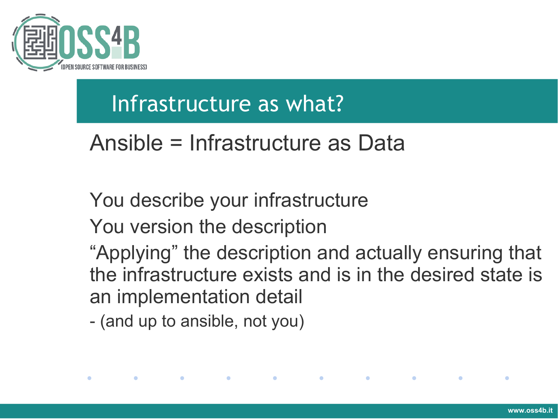

#### Infrastructure as what?

#### Ansible = Infrastructure as Data

#### You describe your infrastructure

You version the description

"Applying" the description and actually ensuring that the infrastructure exists and is in the desired state is an implementation detail

**Contract Contract Contract** 

- (and up to ansible, not you)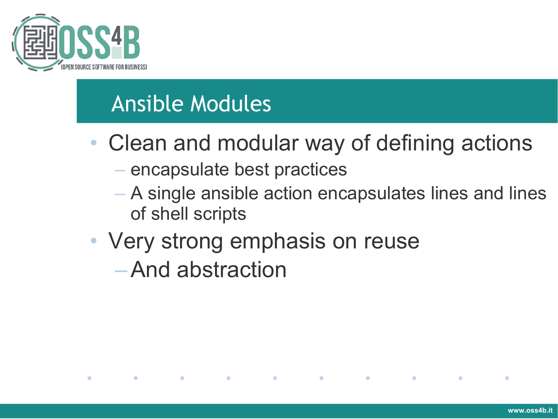

#### Ansible Modules

 $\bullet$ 

 $\bullet$ 

**Contract Contract Contract** 

- Clean and modular way of defining actions
	- encapsulate best practices

**Contract Contract Contract** 

– A single ansible action encapsulates lines and lines of shell scripts

**Contract Contract Contract** 

**Contract Contract Contract** 

 $\bullet$ 

• Very strong emphasis on reuse –And abstraction

**Contract Contract Contract**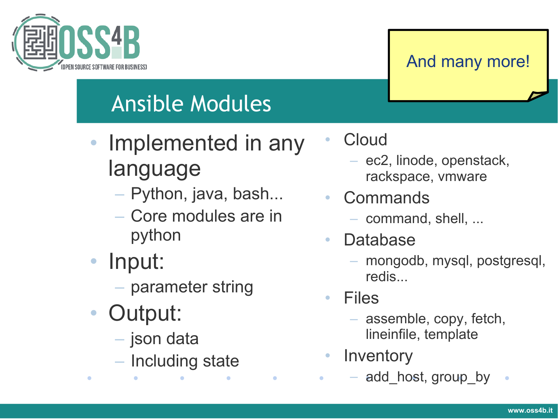

#### And many more!

# Ansible Modules

- Implemented in any language
	- Python, java, bash...
	- Core modules are in python
- Input:
	- parameter string
- Output:

 $\bullet$ 

- json data
- Including state

 $\bullet$ 

**Cloud** 

- ec2, linode, openstack, rackspace, vmware
- **Commands** 
	- command, shell, ...
- Database
	- mongodb, mysql, postgresql, redis...
- Files

 $\bullet$ 

- assemble, copy, fetch, lineinfile, template
- Inventory
	- add\_host, group\_by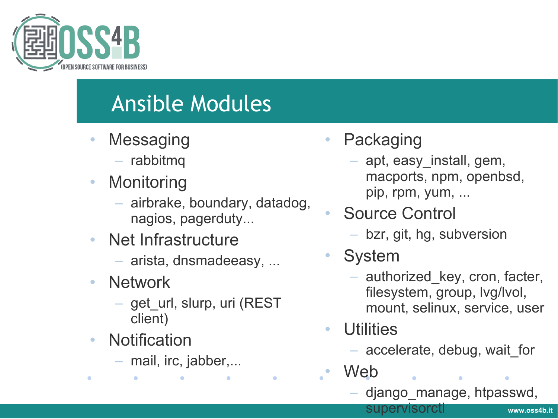

## Ansible Modules

- **Messaging** 
	- rabbitmq
- Monitoring
	- airbrake, boundary, datadog, nagios, pagerduty...
- Net Infrastructure
	- arista, dnsmadeeasy, ...
- Network
	- get\_url, slurp, uri (REST client)
- Notification

 $\bullet$ 

– mail, irc, jabber,...

- **Packaging** 
	- apt, easy\_install, gem, macports, npm, openbsd, pip, rpm, yum, ...
- Source Control
	- bzr, git, hg, subversion
- **System** 
	- authorized\_key, cron, facter, filesystem, group, lvg/lvol, mount, selinux, service, user
- **Utilities** 
	- accelerate, debug, wait\_for
- Web
	- django\_manage, htpasswd,

supervisorctl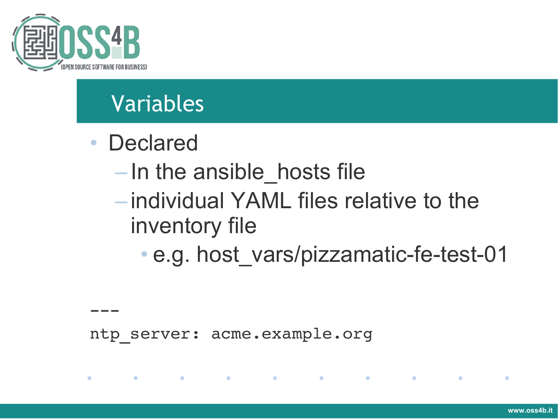

# Variables

• Declared

 $---$ 

 $\mathcal{L}(\mathbf{C})$ 

 $\bullet$ 

- In the ansible\_hosts file
- individual YAML files relative to the inventory file

the control of the control of the control of the control of the control of the control of the control of the con

• e.g. host vars/pizzamatic-fe-test-01

ntp server: acme.example.org

 $\bullet$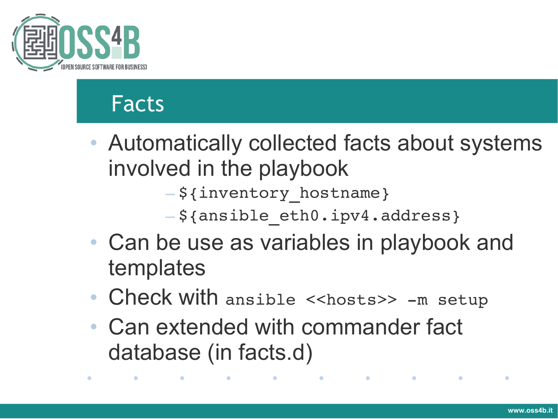

#### Facts

- Automatically collected facts about systems involved in the playbook
	- \${inventory\_hostname}
	- \${ansible\_eth0.ipv4.address}
- Can be use as variables in playbook and templates
- Check with ansible <<hosts>> -m setup

and the contract of the contract of the contract of the contract of the contract of the contract of the contract of

• Can extended with commander fact database (in facts.d)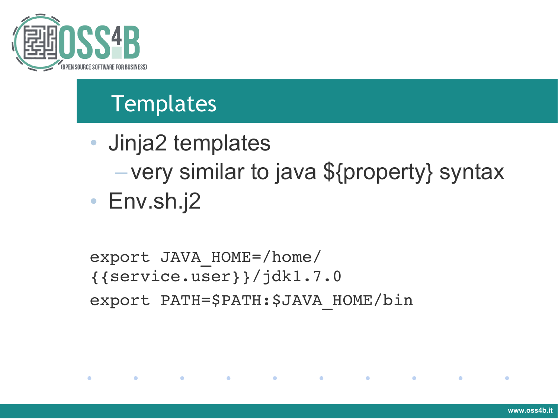

## **Templates**

• Jinja2 templates – very similar to java \${property} syntax

```
• Env.sh.j2
```

```
export JAVA_HOME=/home/
{{service.user}}/jdk1.7.0
export PATH=$PATH:$JAVA_HOME/bin
```
and the contract of the contract of the contract of the contract of the contract of the contract of the contract of

 $\bullet$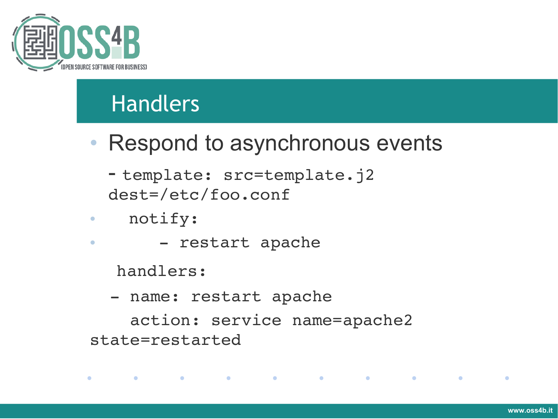

*Committee Committee Committee Committee Committee Committee Committee Committee Committee Committee Committee* 

#### Handlers

- Respond to asynchronous events
	- template: src=template.j2 dest=/etc/foo.conf
- notify:
- restart apache

handlers:

- name: restart apache

 action: service name=apache2 state=restarted

 $\bullet$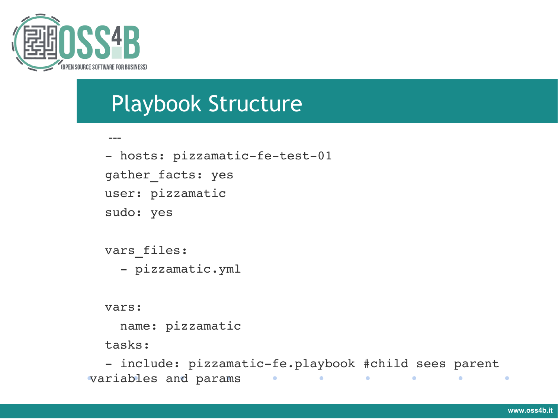

#### Playbook Structure

```
---
- hosts: pizzamatic-fe-test-01
gather facts: yes
  user: pizzamatic
  sudo: yes
vars files:
  - pizzamatic.yml
```
vars:

name: pizzamatic

tasks:

- include: pizzamatic-fe.playbook #child sees parent variables and params  $\bullet$  $\bullet$ **Service Contract Only**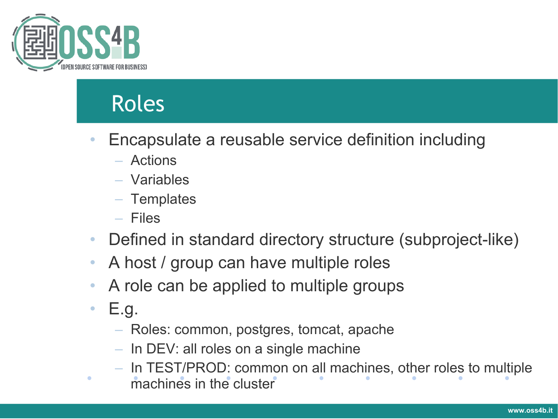

#### Roles

- Encapsulate a reusable service definition including
	- Actions
	- Variables
	- Templates
	- Files
- Defined in standard directory structure (subproject-like)
- A host / group can have multiple roles
- A role can be applied to multiple groups
- E.g.

- Roles: common, postgres, tomcat, apache
- In DEV: all roles on a single machine
- In TEST/PROD: common on all machines, other roles to multiple machines in the cluster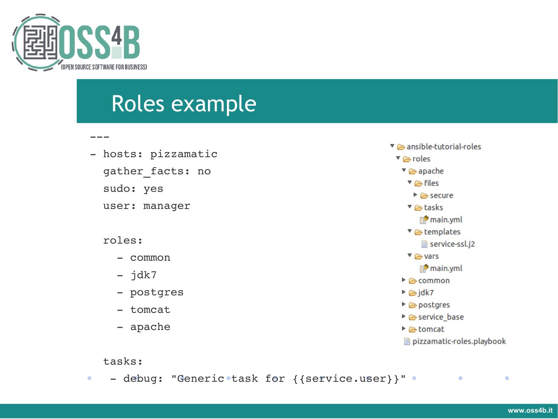

 $---$ 

#### Roles example

- hosts: pizzamatic
	- gather facts: no
	- sudo: yes
	- user: manager

#### roles:

- common
- $-$  jdk7
- postgres
- tomcat
- apache



#### tasks:

• - debug: "Generic task for {{service.user}}" •  $\bullet$  $\bullet$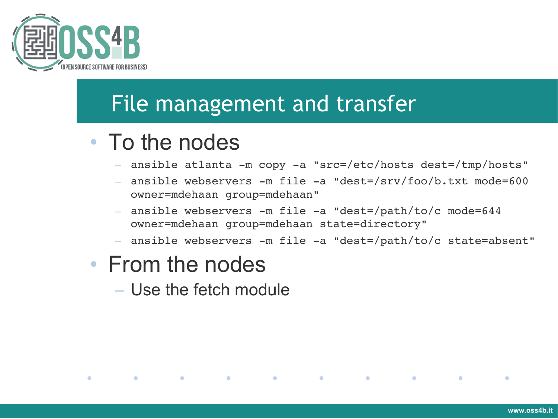

 $\bullet$ 

#### File management and transfer

#### • To the nodes

- ansible atlanta -m copy -a "src=/etc/hosts dest=/tmp/hosts"
- $-$  ansible webservers  $-m$  file  $-a$  "dest=/srv/foo/b.txt mode=600 owner=mdehaan group=mdehaan"
- $-$  ansible webservers  $-m$  file  $-a$  "dest=/path/to/c mode=644 owner=mdehaan group=mdehaan state=directory"
- ansible webservers -m file -a "dest=/path/to/c state=absent"

 $\bullet$ 

 $\bullet$ 

 $\bullet$ 

#### • From the nodes

**Contract Contract** 

– Use the fetch module

 $\bullet$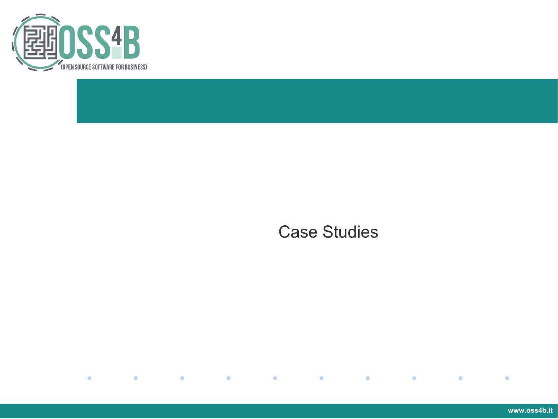

#### Case Studies

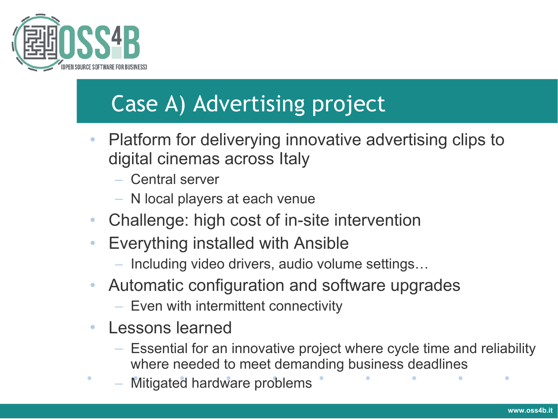

# Case A) Advertising project

- Platform for deliverying innovative advertising clips to digital cinemas across Italy
	- Central server
	- N local players at each venue
- Challenge: high cost of in-site intervention
- Everything installed with Ansible
	- Including video drivers, audio volume settings…
- Automatic configuration and software upgrades
	- Even with intermittent connectivity
- Lessons learned
	- Essential for an innovative project where cycle time and reliability where needed to meet demanding business deadlines
	- Mitigated hardware problems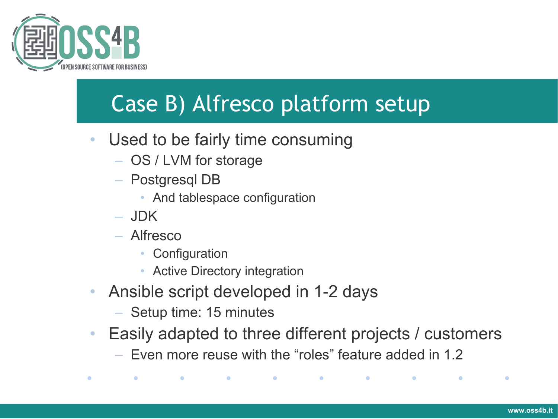

# Case B) Alfresco platform setup

- Used to be fairly time consuming
	- OS / LVM for storage
	- Postgresql DB
		- And tablespace configuration
	- JDK
	- Alfresco
		- Configuration
		- Active Directory integration
- Ansible script developed in 1-2 days
	- Setup time: 15 minutes
- Easily adapted to three different projects / customers
	- Even more reuse with the "roles" feature added in 1.2

 $\bullet$  and  $\bullet$  and  $\bullet$  and  $\bullet$  and  $\bullet$  and  $\bullet$  and  $\bullet$  and  $\bullet$  and  $\bullet$  and  $\bullet$  and  $\bullet$  and  $\bullet$  and  $\bullet$  and  $\bullet$  and  $\bullet$  and  $\bullet$  and  $\bullet$  and  $\bullet$  and  $\bullet$  and  $\bullet$  and  $\bullet$  and  $\bullet$  and  $\bullet$  and  $\bullet$  and  $\bullet$ 

 $\bullet$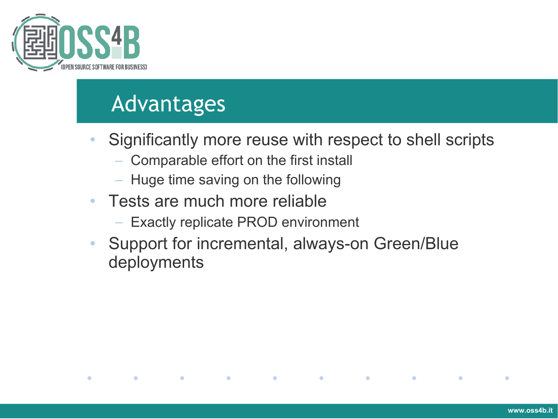

#### Advantages

 $\bullet$ 

 $\bullet$ 

 $\bullet$ 

- Significantly more reuse with respect to shell scripts
	- Comparable effort on the first install
	- Huge time saving on the following

 $\bullet$ 

- Tests are much more reliable
	- Exactly replicate PROD environment
- Support for incremental, always-on Green/Blue deployments

 $\bullet$ 

 $\bullet$ 

 $\bullet$ 

 $\bullet$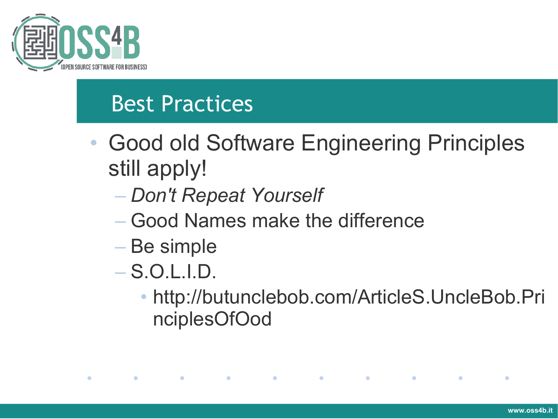

#### Best Practices

- Good old Software Engineering Principles still apply!
	- *Don't Repeat Yourself*
	- Good Names make the difference

the contract of the contract of the contract of the contract of the contract of the contract of the contract of

- Be simple
- S.O.L.I.D.

 $\bullet$ 

 $\bullet$ 

• http://butunclebob.com/ArticleS.UncleBob.Pri nciplesOfOod

 $\bullet$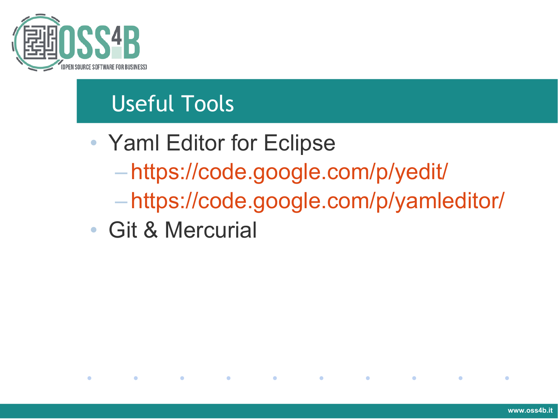

# Useful Tools

- Yaml Editor for Eclipse – <https://code.google.com/p/yedit/> – <https://code.google.com/p/yamleditor/>
- Git & Mercurial

 $\mathcal{L}(\mathcal{L})$ 

 $\bullet$ 

 $\bullet$ 

 $\bullet$ 

 $\bullet$ 

 $\bullet$ 

 $\bullet$ 

 $\bullet$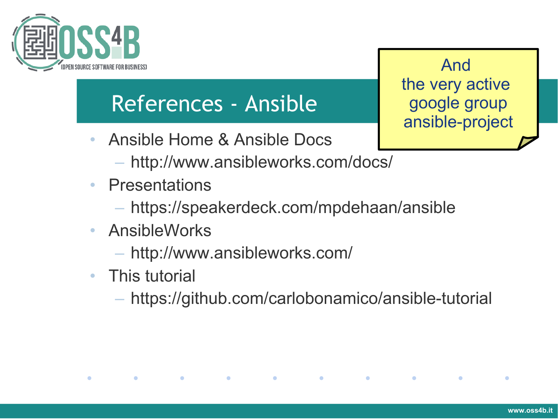

#### References - Ansible

- Ansible Home & Ansible Docs
	- http://www.ansibleworks.com/docs/
- Presentations
	- https://speakerdeck.com/mpdehaan/ansible
- AnsibleWorks
	- http://www.ansibleworks.com/

**Contract Contract Contract** 

• This tutorial

 $\bullet$ 

 $\bullet$ 

**Contract Contract Contract** 

– https://github.com/carlobonamico/ansible-tutorial

 $\bullet$  . The set of  $\bullet$ 

**Contract Contract Contract** 

 $\bullet$ 

 $\bullet$ 

**Contract Contract Contract** 

And the very active google group ansible-project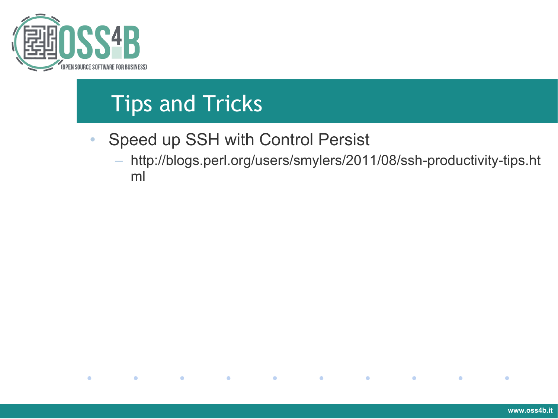

# Tips and Tricks

- Speed up SSH with Control Persist
	- http://blogs.perl.org/users/smylers/2011/08/ssh-productivity-tips.ht ml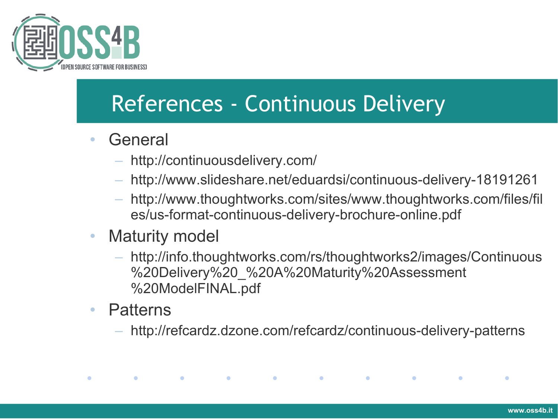

### References - Continuous Delivery

- General
	- http://continuousdelivery.com/
	- http://www.slideshare.net/eduardsi/continuous-delivery-18191261
	- http://www.thoughtworks.com/sites/www.thoughtworks.com/files/fil es/us-format-continuous-delivery-brochure-online.pdf
- Maturity model
	- http://info.thoughtworks.com/rs/thoughtworks2/images/Continuous %20Delivery%20\_%20A%20Maturity%20Assessment %20ModelFINAL.pdf
- Patterns

 $\bullet$ 

 $\bullet$ 

**Contract Contract Contract** 

– http://refcardz.dzone.com/refcardz/continuous-delivery-patterns

**Contract Contract Contract** 

 $\bullet$ 

 $\bullet$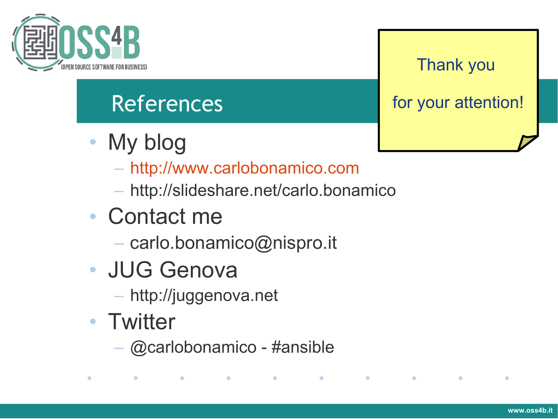

# References

- My blog
	- [http://www.carlobonamico.com](http://www.carlobonamico.com/)
	- http://slideshare.net/carlo.bonamico
- Contact me
	- carlo.bonamico@nispro.it
- JUG Genova
	- http://juggenova.net
- Twitter

 $\bullet$ 

 $\bullet$ 

– @carlobonamico - #ansible

a construction of the construction of the construction of the construction of the construction of the construction of the construction of the construction of the construction of the construction of the construction of the

#### Thank you

for your attention!

 $\bullet$